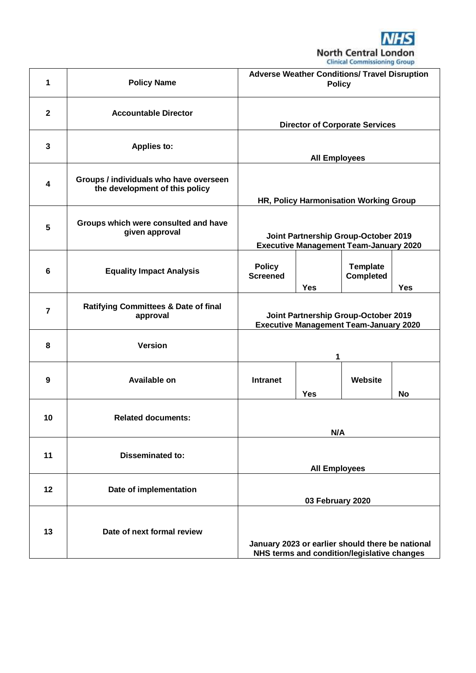

|                |                                                                          |                                                                                                 |            | companies communications of order   |            |
|----------------|--------------------------------------------------------------------------|-------------------------------------------------------------------------------------------------|------------|-------------------------------------|------------|
| 1              | <b>Policy Name</b>                                                       | <b>Adverse Weather Conditions/ Travel Disruption</b><br><b>Policy</b>                           |            |                                     |            |
| $\mathbf{2}$   | <b>Accountable Director</b>                                              | <b>Director of Corporate Services</b>                                                           |            |                                     |            |
| 3              | <b>Applies to:</b>                                                       | <b>All Employees</b>                                                                            |            |                                     |            |
| 4              | Groups / individuals who have overseen<br>the development of this policy | HR, Policy Harmonisation Working Group                                                          |            |                                     |            |
| 5              | Groups which were consulted and have<br>given approval                   | Joint Partnership Group-October 2019<br><b>Executive Management Team-January 2020</b>           |            |                                     |            |
| 6              | <b>Equality Impact Analysis</b>                                          | <b>Policy</b><br><b>Screened</b>                                                                | <b>Yes</b> | <b>Template</b><br><b>Completed</b> | <b>Yes</b> |
| $\overline{7}$ | <b>Ratifying Committees &amp; Date of final</b><br>approval              | Joint Partnership Group-October 2019<br><b>Executive Management Team-January 2020</b>           |            |                                     |            |
| 8              | <b>Version</b>                                                           |                                                                                                 | 1          |                                     |            |
| 9              | <b>Available on</b>                                                      | Intranet                                                                                        | <b>Yes</b> | Website                             | No         |
| 10             | <b>Related documents:</b>                                                |                                                                                                 | N/A        |                                     |            |
| 11             | <b>Disseminated to:</b>                                                  | <b>All Employees</b>                                                                            |            |                                     |            |
| 12             | Date of implementation                                                   | 03 February 2020                                                                                |            |                                     |            |
| 13             | Date of next formal review                                               | January 2023 or earlier should there be national<br>NHS terms and condition/legislative changes |            |                                     |            |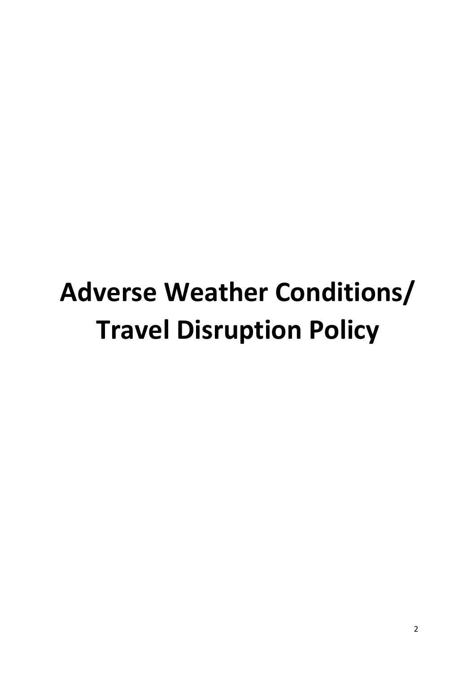# **Adverse Weather Conditions/ Travel Disruption Policy**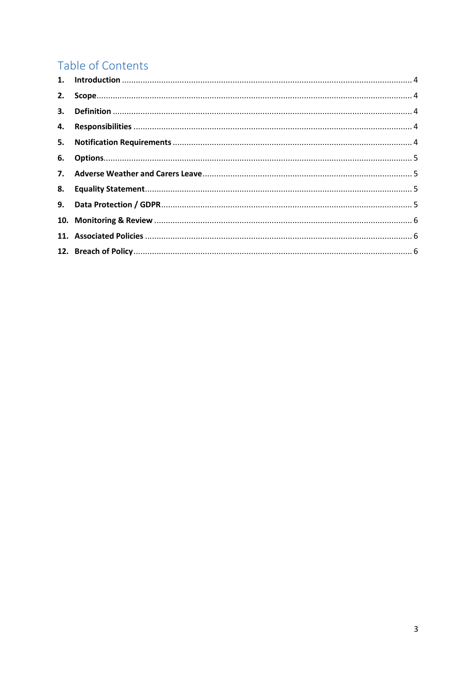# Table of Contents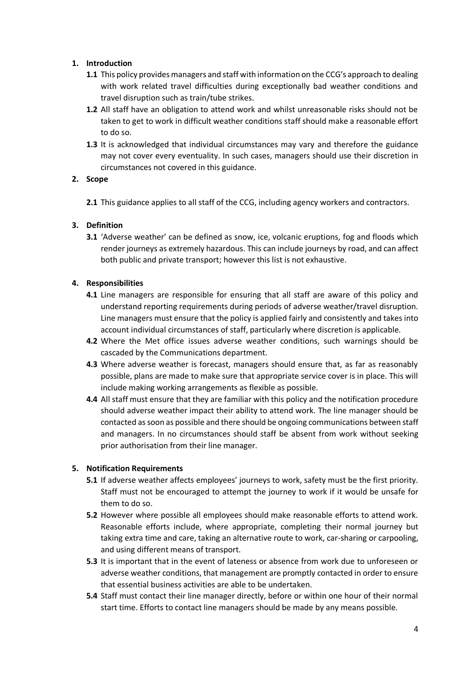# <span id="page-3-0"></span>**1. Introduction**

- **1.1** This policy provides managers and staff with information on the CCG's approach to dealing with work related travel difficulties during exceptionally bad weather conditions and travel disruption such as train/tube strikes.
- **1.2** All staff have an obligation to attend work and whilst unreasonable risks should not be taken to get to work in difficult weather conditions staff should make a reasonable effort to do so.
- **1.3** It is acknowledged that individual circumstances may vary and therefore the guidance may not cover every eventuality. In such cases, managers should use their discretion in circumstances not covered in this guidance.

#### <span id="page-3-1"></span>**2. Scope**

**2.1** This guidance applies to all staff of the CCG, including agency workers and contractors.

# <span id="page-3-2"></span>**3. Definition**

**3.1** 'Adverse weather' can be defined as snow, ice, volcanic eruptions, fog and floods which render journeys as extremely hazardous. This can include journeys by road, and can affect both public and private transport; however this list is not exhaustive.

#### <span id="page-3-3"></span>**4. Responsibilities**

- **4.1** Line managers are responsible for ensuring that all staff are aware of this policy and understand reporting requirements during periods of adverse weather/travel disruption. Line managers must ensure that the policy is applied fairly and consistently and takes into account individual circumstances of staff, particularly where discretion is applicable.
- **4.2** Where the Met office issues adverse weather conditions, such warnings should be cascaded by the Communications department.
- **4.3** Where adverse weather is forecast, managers should ensure that, as far as reasonably possible, plans are made to make sure that appropriate service cover is in place. This will include making working arrangements as flexible as possible.
- **4.4** All staff must ensure that they are familiar with this policy and the notification procedure should adverse weather impact their ability to attend work. The line manager should be contacted as soon as possible and there should be ongoing communications between staff and managers. In no circumstances should staff be absent from work without seeking prior authorisation from their line manager.

# <span id="page-3-4"></span>**5. Notification Requirements**

- **5.1** If adverse weather affects employees' journeys to work, safety must be the first priority. Staff must not be encouraged to attempt the journey to work if it would be unsafe for them to do so.
- **5.2** However where possible all employees should make reasonable efforts to attend work. Reasonable efforts include, where appropriate, completing their normal journey but taking extra time and care, taking an alternative route to work, car-sharing or carpooling, and using different means of transport.
- **5.3** It is important that in the event of lateness or absence from work due to unforeseen or adverse weather conditions, that management are promptly contacted in order to ensure that essential business activities are able to be undertaken.
- **5.4** Staff must contact their line manager directly, before or within one hour of their normal start time. Efforts to contact line managers should be made by any means possible.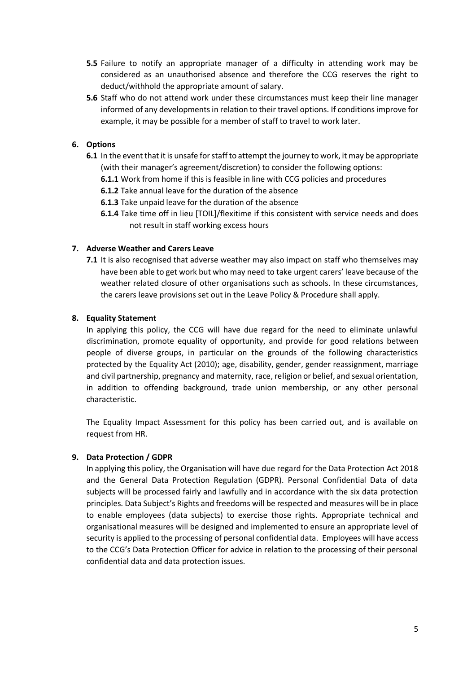- **5.5** Failure to notify an appropriate manager of a difficulty in attending work may be considered as an unauthorised absence and therefore the CCG reserves the right to deduct/withhold the appropriate amount of salary.
- **5.6** Staff who do not attend work under these circumstances must keep their line manager informed of any developments in relation to their travel options. If conditions improve for example, it may be possible for a member of staff to travel to work later.

## <span id="page-4-0"></span>**6. Options**

- **6.1** In the event that it is unsafe for staff to attempt the journey to work, it may be appropriate (with their manager's agreement/discretion) to consider the following options:
	- **6.1.1** Work from home if this is feasible in line with CCG policies and procedures

**6.1.2** Take annual leave for the duration of the absence

**6.1.3** Take unpaid leave for the duration of the absence

**6.1.4** Take time off in lieu [TOIL]/flexitime if this consistent with service needs and does not result in staff working excess hours

#### <span id="page-4-1"></span>**7. Adverse Weather and Carers Leave**

**7.1** It is also recognised that adverse weather may also impact on staff who themselves may have been able to get work but who may need to take urgent carers' leave because of the weather related closure of other organisations such as schools. In these circumstances, the carers leave provisions set out in the Leave Policy & Procedure shall apply.

#### <span id="page-4-2"></span>**8. Equality Statement**

In applying this policy, the CCG will have due regard for the need to eliminate unlawful discrimination, promote equality of opportunity, and provide for good relations between people of diverse groups, in particular on the grounds of the following characteristics protected by the Equality Act (2010); age, disability, gender, gender reassignment, marriage and civil partnership, pregnancy and maternity, race, religion or belief, and sexual orientation, in addition to offending background, trade union membership, or any other personal characteristic.

The Equality Impact Assessment for this policy has been carried out, and is available on request from HR.

#### <span id="page-4-3"></span>**9. Data Protection / GDPR**

In applying this policy, the Organisation will have due regard for the Data Protection Act 2018 and the General Data Protection Regulation (GDPR). Personal Confidential Data of data subjects will be processed fairly and lawfully and in accordance with the six data protection principles. Data Subject's Rights and freedoms will be respected and measures will be in place to enable employees (data subjects) to exercise those rights. Appropriate technical and organisational measures will be designed and implemented to ensure an appropriate level of security is applied to the processing of personal confidential data. Employees will have access to the CCG's Data Protection Officer for advice in relation to the processing of their personal confidential data and data protection issues.